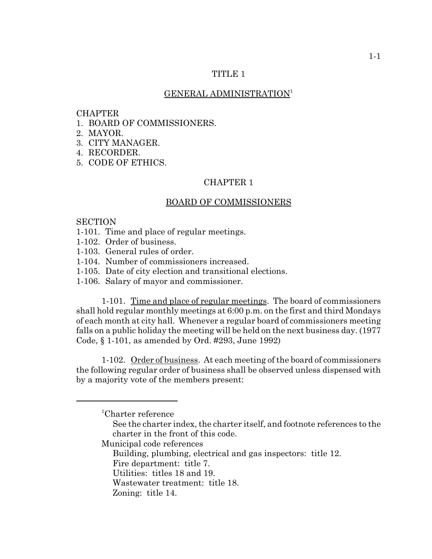## TITLE 1

## GENERAL ADMINISTRATION<sup>1</sup>

#### CHAPTER

- 1. BOARD OF COMMISSIONERS.
- 2. MAYOR.
- 3. CITY MANAGER.
- 4. RECORDER.
- 5. CODE OF ETHICS.

## CHAPTER 1

## BOARD OF COMMISSIONERS

#### **SECTION**

- 1-101. Time and place of regular meetings.
- 1-102. Order of business.
- 1-103. General rules of order.
- 1-104. Number of commissioners increased.
- 1-105. Date of city election and transitional elections.
- 1-106. Salary of mayor and commissioner.

1-101. Time and place of regular meetings. The board of commissioners shall hold regular monthly meetings at 6:00 p.m. on the first and third Mondays of each month at city hall. Whenever a regular board of commissioners meeting falls on a public holiday the meeting will be held on the next business day. (1977 Code, § 1-101, as amended by Ord. #293, June 1992)

1-102. Order of business. At each meeting of the board of commissioners the following regular order of business shall be observed unless dispensed with by a majority vote of the members present:

- Building, plumbing, electrical and gas inspectors: title 12.
- Fire department: title 7. Utilities: titles 18 and 19.
- 
- Wastewater treatment: title 18.

<sup>1</sup> Charter reference

See the charter index, the charter itself, and footnote references to the charter in the front of this code.

Municipal code references

Zoning: title 14.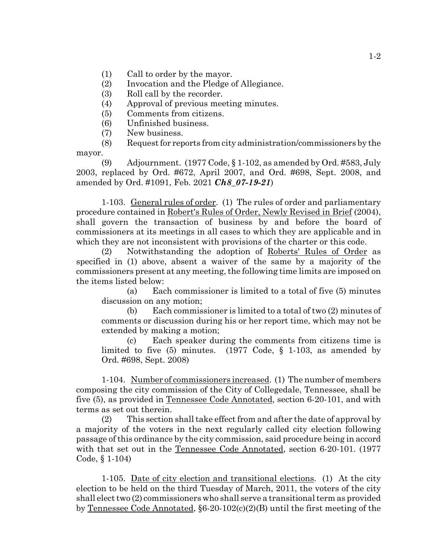- (1) Call to order by the mayor.
- (2) Invocation and the Pledge of Allegiance.
- (3) Roll call by the recorder.
- (4) Approval of previous meeting minutes.
- (5) Comments from citizens.
- (6) Unfinished business.
- (7) New business.

(8) Request for reports from city administration/commissioners by the mayor.

(9) Adjournment. (1977 Code, § 1-102, as amended by Ord. #583, July 2003, replaced by Ord. #672, April 2007, and Ord. #698, Sept. 2008, and amended by Ord. #1091, Feb. 2021 *Ch8\_07-19-21*)

1-103. General rules of order. (1) The rules of order and parliamentary procedure contained in Robert's Rules of Order, Newly Revised in Brief (2004), shall govern the transaction of business by and before the board of commissioners at its meetings in all cases to which they are applicable and in which they are not inconsistent with provisions of the charter or this code.

(2) Notwithstanding the adoption of Roberts' Rules of Order as specified in (1) above, absent a waiver of the same by a majority of the commissioners present at any meeting, the following time limits are imposed on the items listed below:

(a) Each commissioner is limited to a total of five (5) minutes discussion on any motion;

(b) Each commissioner is limited to a total of two (2) minutes of comments or discussion during his or her report time, which may not be extended by making a motion;

(c) Each speaker during the comments from citizens time is limited to five (5) minutes. (1977 Code, § 1-103, as amended by Ord. #698, Sept. 2008)

1-104. Number of commissioners increased. (1) The number of members composing the city commission of the City of Collegedale, Tennessee, shall be five (5), as provided in Tennessee Code Annotated, section 6-20-101, and with terms as set out therein.

(2) This section shall take effect from and after the date of approval by a majority of the voters in the next regularly called city election following passage of this ordinance by the city commission, said procedure being in accord with that set out in the Tennessee Code Annotated, section 6-20-101. (1977 Code, § 1-104)

1-105. Date of city election and transitional elections. (1) At the city election to be held on the third Tuesday of March, 2011, the voters of the city shall elect two (2) commissioners who shall serve a transitional term as provided by Tennessee Code Annotated, §6-20-102(c)(2)(B) until the first meeting of the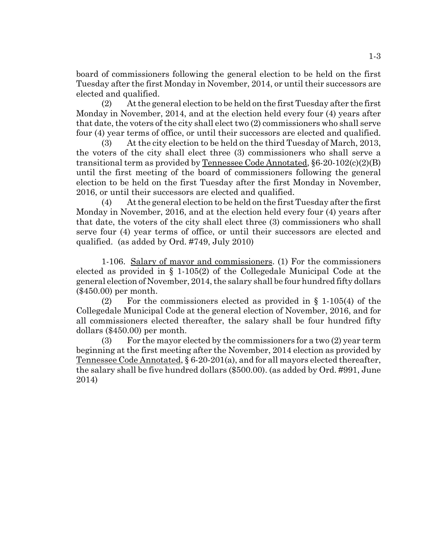board of commissioners following the general election to be held on the first Tuesday after the first Monday in November, 2014, or until their successors are elected and qualified.

(2) At the general election to be held on the first Tuesday after the first Monday in November, 2014, and at the election held every four (4) years after that date, the voters of the city shall elect two (2) commissioners who shall serve four (4) year terms of office, or until their successors are elected and qualified.

(3) At the city election to be held on the third Tuesday of March, 2013, the voters of the city shall elect three (3) commissioners who shall serve a transitional term as provided by  $T$ ennessee Code Annotated, §6-20-102 $(c)(2)(B)$ until the first meeting of the board of commissioners following the general election to be held on the first Tuesday after the first Monday in November, 2016, or until their successors are elected and qualified.

(4) At the general election to be held on the first Tuesday after the first Monday in November, 2016, and at the election held every four (4) years after that date, the voters of the city shall elect three (3) commissioners who shall serve four (4) year terms of office, or until their successors are elected and qualified. (as added by Ord. #749, July 2010)

1-106. Salary of mayor and commissioners. (1) For the commissioners elected as provided in § 1-105(2) of the Collegedale Municipal Code at the general election of November, 2014, the salary shall be four hundred fifty dollars (\$450.00) per month.

(2) For the commissioners elected as provided in § 1-105(4) of the Collegedale Municipal Code at the general election of November, 2016, and for all commissioners elected thereafter, the salary shall be four hundred fifty dollars (\$450.00) per month.

(3) For the mayor elected by the commissioners for a two (2) year term beginning at the first meeting after the November, 2014 election as provided by Tennessee Code Annotated, § 6-20-201(a), and for all mayors elected thereafter, the salary shall be five hundred dollars (\$500.00). (as added by Ord. #991, June 2014)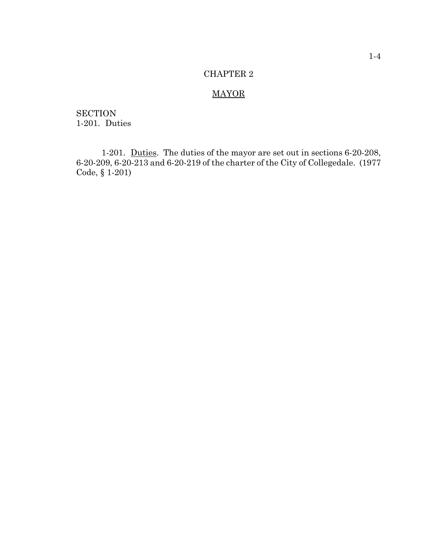# **MAYOR**

**SECTION** 1-201. Duties

1-201. Duties. The duties of the mayor are set out in sections 6-20-208, 6-20-209, 6-20-213 and 6-20-219 of the charter of the City of Collegedale. (1977 Code, § 1-201)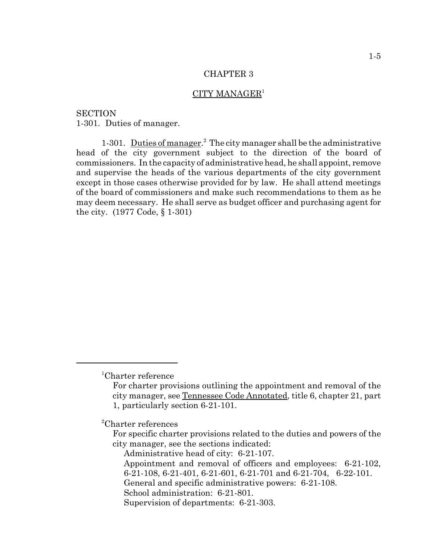## CITY MANAGER<sup>1</sup>

**SECTION** 1-301. Duties of manager.

1-301. Duties of manager.<sup>2</sup> The city manager shall be the administrative head of the city government subject to the direction of the board of commissioners. In the capacity of administrative head, he shall appoint, remove and supervise the heads of the various departments of the city government except in those cases otherwise provided for by law. He shall attend meetings of the board of commissioners and make such recommendations to them as he may deem necessary. He shall serve as budget officer and purchasing agent for the city. (1977 Code, § 1-301)

2 Charter references

<sup>1</sup> Charter reference

For charter provisions outlining the appointment and removal of the city manager, see Tennessee Code Annotated, title 6, chapter 21, part 1, particularly section 6-21-101.

For specific charter provisions related to the duties and powers of the city manager, see the sections indicated:

Administrative head of city: 6-21-107.

Appointment and removal of officers and employees: 6-21-102, 6-21-108, 6-21-401, 6-21-601, 6-21-701 and 6-21-704, 6-22-101.

General and specific administrative powers: 6-21-108.

School administration: 6-21-801.

Supervision of departments: 6-21-303.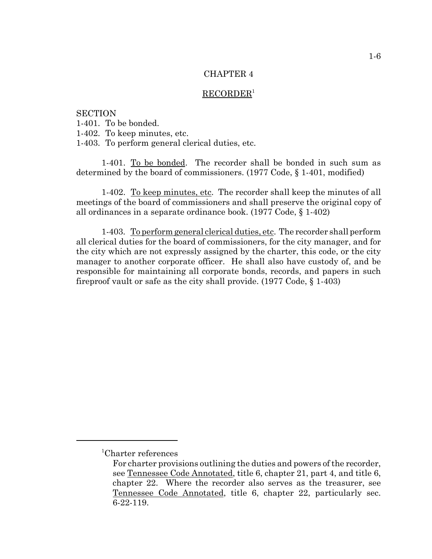#### $RECORDER<sup>1</sup>$

**SECTION** 1-401. To be bonded. 1-402. To keep minutes, etc. 1-403. To perform general clerical duties, etc.

1-401. To be bonded. The recorder shall be bonded in such sum as determined by the board of commissioners. (1977 Code, § 1-401, modified)

1-402. To keep minutes, etc. The recorder shall keep the minutes of all meetings of the board of commissioners and shall preserve the original copy of all ordinances in a separate ordinance book. (1977 Code, § 1-402)

1-403. To perform general clerical duties, etc. The recorder shall perform all clerical duties for the board of commissioners, for the city manager, and for the city which are not expressly assigned by the charter, this code, or the city manager to another corporate officer. He shall also have custody of, and be responsible for maintaining all corporate bonds, records, and papers in such fireproof vault or safe as the city shall provide. (1977 Code, § 1-403)

<sup>1</sup> Charter references

For charter provisions outlining the duties and powers of the recorder, see Tennessee Code Annotated, title 6, chapter 21, part 4, and title 6, chapter 22. Where the recorder also serves as the treasurer, see Tennessee Code Annotated, title 6, chapter 22, particularly sec. 6-22-119.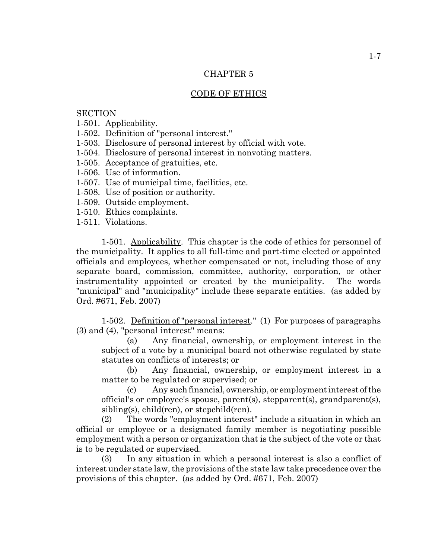## CODE OF ETHICS

## **SECTION**

- 1-501. Applicability.
- 1-502. Definition of "personal interest."
- 1-503. Disclosure of personal interest by official with vote.
- 1-504. Disclosure of personal interest in nonvoting matters.
- 1-505. Acceptance of gratuities, etc.
- 1-506. Use of information.
- 1-507. Use of municipal time, facilities, etc.
- 1-508. Use of position or authority.
- 1-509. Outside employment.
- 1-510. Ethics complaints.
- 1-511. Violations.

1-501. Applicability. This chapter is the code of ethics for personnel of the municipality. It applies to all full-time and part-time elected or appointed officials and employees, whether compensated or not, including those of any separate board, commission, committee, authority, corporation, or other instrumentality appointed or created by the municipality. The words "municipal" and "municipality" include these separate entities. (as added by Ord. #671, Feb. 2007)

1-502. Definition of "personal interest." (1) For purposes of paragraphs (3) and (4), "personal interest" means:

(a) Any financial, ownership, or employment interest in the subject of a vote by a municipal board not otherwise regulated by state statutes on conflicts of interests; or

(b) Any financial, ownership, or employment interest in a matter to be regulated or supervised; or

(c) Any such financial, ownership, or employment interest of the official's or employee's spouse, parent(s), stepparent(s), grandparent(s), sibling(s), child(ren), or stepchild(ren).

(2) The words "employment interest" include a situation in which an official or employee or a designated family member is negotiating possible employment with a person or organization that is the subject of the vote or that is to be regulated or supervised.

(3) In any situation in which a personal interest is also a conflict of interest under state law, the provisions of the state law take precedence over the provisions of this chapter. (as added by Ord. #671, Feb. 2007)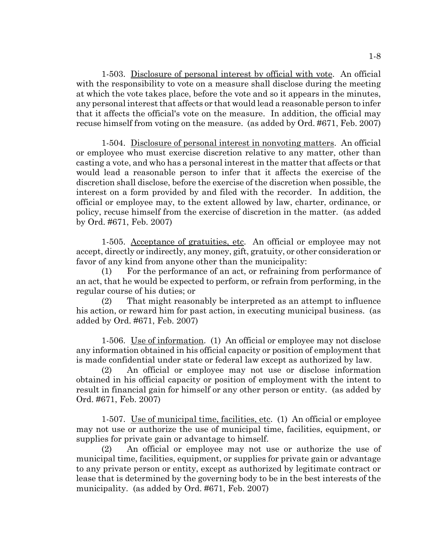1-503. Disclosure of personal interest by official with vote. An official with the responsibility to vote on a measure shall disclose during the meeting at which the vote takes place, before the vote and so it appears in the minutes, any personal interest that affects or that would lead a reasonable person to infer that it affects the official's vote on the measure. In addition, the official may recuse himself from voting on the measure. (as added by Ord. #671, Feb. 2007)

1-504. Disclosure of personal interest in nonvoting matters. An official or employee who must exercise discretion relative to any matter, other than casting a vote, and who has a personal interest in the matter that affects or that would lead a reasonable person to infer that it affects the exercise of the discretion shall disclose, before the exercise of the discretion when possible, the interest on a form provided by and filed with the recorder. In addition, the official or employee may, to the extent allowed by law, charter, ordinance, or policy, recuse himself from the exercise of discretion in the matter. (as added by Ord. #671, Feb. 2007)

1-505. Acceptance of gratuities, etc. An official or employee may not accept, directly or indirectly, any money, gift, gratuity, or other consideration or favor of any kind from anyone other than the municipality:

(1) For the performance of an act, or refraining from performance of an act, that he would be expected to perform, or refrain from performing, in the regular course of his duties; or

(2) That might reasonably be interpreted as an attempt to influence his action, or reward him for past action, in executing municipal business. (as added by Ord. #671, Feb. 2007)

1-506. Use of information. (1) An official or employee may not disclose any information obtained in his official capacity or position of employment that is made confidential under state or federal law except as authorized by law.

(2) An official or employee may not use or disclose information obtained in his official capacity or position of employment with the intent to result in financial gain for himself or any other person or entity. (as added by Ord. #671, Feb. 2007)

1-507. Use of municipal time, facilities, etc. (1) An official or employee may not use or authorize the use of municipal time, facilities, equipment, or supplies for private gain or advantage to himself.

(2) An official or employee may not use or authorize the use of municipal time, facilities, equipment, or supplies for private gain or advantage to any private person or entity, except as authorized by legitimate contract or lease that is determined by the governing body to be in the best interests of the municipality. (as added by Ord. #671, Feb. 2007)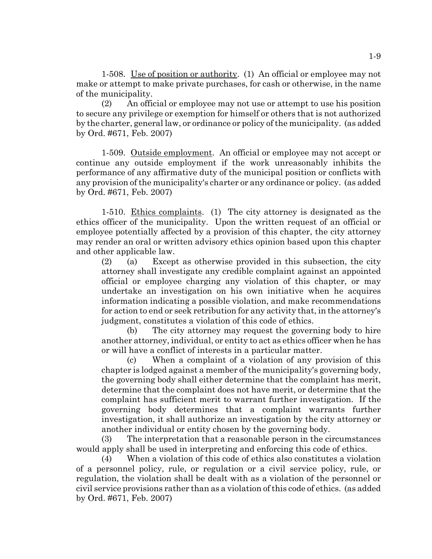1-508. Use of position or authority. (1) An official or employee may not make or attempt to make private purchases, for cash or otherwise, in the name of the municipality.

(2) An official or employee may not use or attempt to use his position to secure any privilege or exemption for himself or others that is not authorized by the charter, general law, or ordinance or policy of the municipality. (as added by Ord. #671, Feb. 2007)

1-509. Outside employment. An official or employee may not accept or continue any outside employment if the work unreasonably inhibits the performance of any affirmative duty of the municipal position or conflicts with any provision of the municipality's charter or any ordinance or policy. (as added by Ord. #671, Feb. 2007)

1-510. Ethics complaints. (1) The city attorney is designated as the ethics officer of the municipality. Upon the written request of an official or employee potentially affected by a provision of this chapter, the city attorney may render an oral or written advisory ethics opinion based upon this chapter and other applicable law.

(2) (a) Except as otherwise provided in this subsection, the city attorney shall investigate any credible complaint against an appointed official or employee charging any violation of this chapter, or may undertake an investigation on his own initiative when he acquires information indicating a possible violation, and make recommendations for action to end or seek retribution for any activity that, in the attorney's judgment, constitutes a violation of this code of ethics.

(b) The city attorney may request the governing body to hire another attorney, individual, or entity to act as ethics officer when he has or will have a conflict of interests in a particular matter.

(c) When a complaint of a violation of any provision of this chapter is lodged against a member of the municipality's governing body, the governing body shall either determine that the complaint has merit, determine that the complaint does not have merit, or determine that the complaint has sufficient merit to warrant further investigation. If the governing body determines that a complaint warrants further investigation, it shall authorize an investigation by the city attorney or another individual or entity chosen by the governing body.

(3) The interpretation that a reasonable person in the circumstances would apply shall be used in interpreting and enforcing this code of ethics.

(4) When a violation of this code of ethics also constitutes a violation of a personnel policy, rule, or regulation or a civil service policy, rule, or regulation, the violation shall be dealt with as a violation of the personnel or civil service provisions rather than as a violation of this code of ethics. (as added by Ord. #671, Feb. 2007)